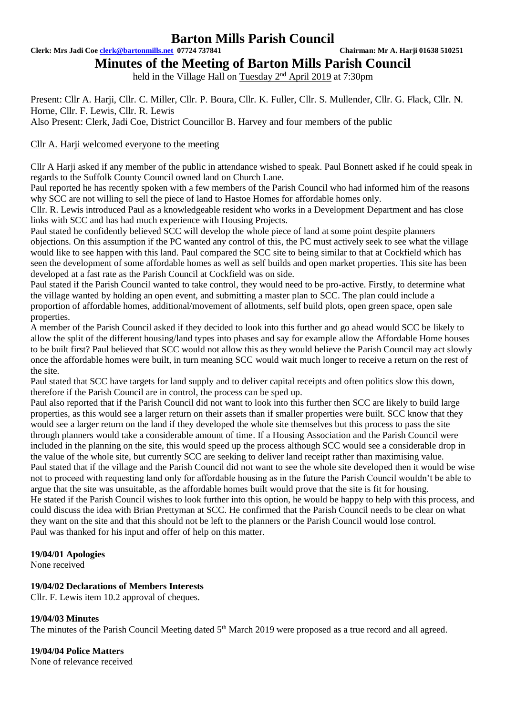**Clerk: Mrs Jadi Coe [clerk@bartonmills.net](mailto:clerk@bartonmills.net) 07724 737841 Chairman: Mr A. Harji 01638 510251**

**Minutes of the Meeting of Barton Mills Parish Council**

held in the Village Hall on Tuesday 2<sup>nd</sup> April 2019 at 7:30pm

Present: Cllr A. Harji, Cllr. C. Miller, Cllr. P. Boura, Cllr. K. Fuller, Cllr. S. Mullender, Cllr. G. Flack, Cllr. N. Horne, Cllr. F. Lewis, Cllr. R. Lewis

Also Present: Clerk, Jadi Coe, District Councillor B. Harvey and four members of the public

# Cllr A. Harji welcomed everyone to the meeting

Cllr A Harji asked if any member of the public in attendance wished to speak. Paul Bonnett asked if he could speak in regards to the Suffolk County Council owned land on Church Lane.

Paul reported he has recently spoken with a few members of the Parish Council who had informed him of the reasons why SCC are not willing to sell the piece of land to Hastoe Homes for affordable homes only.

Cllr. R. Lewis introduced Paul as a knowledgeable resident who works in a Development Department and has close links with SCC and has had much experience with Housing Projects.

Paul stated he confidently believed SCC will develop the whole piece of land at some point despite planners objections. On this assumption if the PC wanted any control of this, the PC must actively seek to see what the village would like to see happen with this land. Paul compared the SCC site to being similar to that at Cockfield which has seen the development of some affordable homes as well as self builds and open market properties. This site has been developed at a fast rate as the Parish Council at Cockfield was on side.

Paul stated if the Parish Council wanted to take control, they would need to be pro-active. Firstly, to determine what the village wanted by holding an open event, and submitting a master plan to SCC. The plan could include a proportion of affordable homes, additional/movement of allotments, self build plots, open green space, open sale properties.

A member of the Parish Council asked if they decided to look into this further and go ahead would SCC be likely to allow the split of the different housing/land types into phases and say for example allow the Affordable Home houses to be built first? Paul believed that SCC would not allow this as they would believe the Parish Council may act slowly once the affordable homes were built, in turn meaning SCC would wait much longer to receive a return on the rest of the site.

Paul stated that SCC have targets for land supply and to deliver capital receipts and often politics slow this down, therefore if the Parish Council are in control, the process can be sped up.

Paul also reported that if the Parish Council did not want to look into this further then SCC are likely to build large properties, as this would see a larger return on their assets than if smaller properties were built. SCC know that they would see a larger return on the land if they developed the whole site themselves but this process to pass the site through planners would take a considerable amount of time. If a Housing Association and the Parish Council were included in the planning on the site, this would speed up the process although SCC would see a considerable drop in the value of the whole site, but currently SCC are seeking to deliver land receipt rather than maximising value. Paul stated that if the village and the Parish Council did not want to see the whole site developed then it would be wise not to proceed with requesting land only for affordable housing as in the future the Parish Council wouldn't be able to argue that the site was unsuitable, as the affordable homes built would prove that the site is fit for housing. He stated if the Parish Council wishes to look further into this option, he would be happy to help with this process, and could discuss the idea with Brian Prettyman at SCC. He confirmed that the Parish Council needs to be clear on what they want on the site and that this should not be left to the planners or the Parish Council would lose control. Paul was thanked for his input and offer of help on this matter.

# **19/04/01 Apologies**

None received

# **19/04/02 Declarations of Members Interests**

Cllr. F. Lewis item 10.2 approval of cheques.

# **19/04/03 Minutes**

The minutes of the Parish Council Meeting dated 5<sup>th</sup> March 2019 were proposed as a true record and all agreed.

**19/04/04 Police Matters** None of relevance received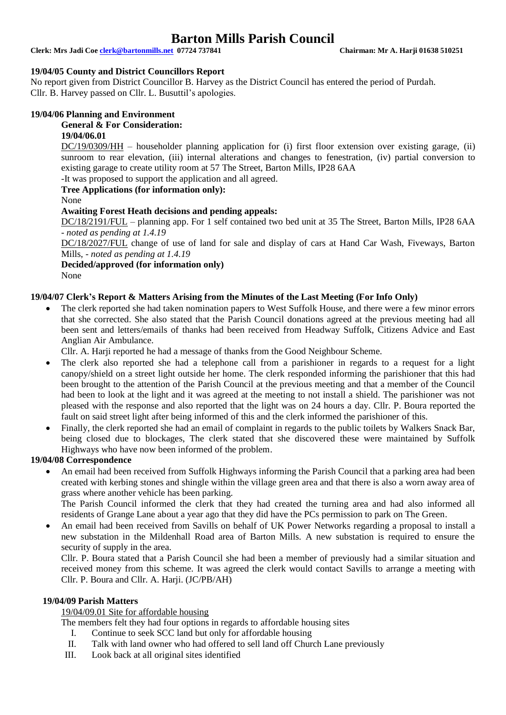**Clerk: Mrs Jadi Coe [clerk@bartonmills.net](mailto:clerk@bartonmills.net) 07724 737841 Chairman: Mr A. Harji 01638 510251**

# **19/04/05 County and District Councillors Report**

No report given from District Councillor B. Harvey as the District Council has entered the period of Purdah. Cllr. B. Harvey passed on Cllr. L. Busuttil's apologies.

# **19/04/06 Planning and Environment**

#### **General & For Consideration:**

#### **19/04/06.01**

DC/19/0309/HH – householder planning application for (i) first floor extension over existing garage, (ii) sunroom to rear elevation, (iii) internal alterations and changes to fenestration, (iv) partial conversion to existing garage to create utility room at 57 The Street, Barton Mills, IP28 6AA

-It was proposed to support the application and all agreed.

# **Tree Applications (for information only):**

None

# **Awaiting Forest Heath decisions and pending appeals:**

DC/18/2191/FUL – planning app. For 1 self contained two bed unit at 35 The Street, Barton Mills, IP28 6AA *- noted as pending at 1.4.19*

DC/18/2027/FUL change of use of land for sale and display of cars at Hand Car Wash, Fiveways, Barton Mills, - *noted as pending at 1.4.19*

**Decided/approved (for information only)**

None

# **19/04/07 Clerk's Report & Matters Arising from the Minutes of the Last Meeting (For Info Only)**

The clerk reported she had taken nomination papers to West Suffolk House, and there were a few minor errors that she corrected. She also stated that the Parish Council donations agreed at the previous meeting had all been sent and letters/emails of thanks had been received from Headway Suffolk, Citizens Advice and East Anglian Air Ambulance.

Cllr. A. Harji reported he had a message of thanks from the Good Neighbour Scheme.

- The clerk also reported she had a telephone call from a parishioner in regards to a request for a light canopy/shield on a street light outside her home. The clerk responded informing the parishioner that this had been brought to the attention of the Parish Council at the previous meeting and that a member of the Council had been to look at the light and it was agreed at the meeting to not install a shield. The parishioner was not pleased with the response and also reported that the light was on 24 hours a day. Cllr. P. Boura reported the fault on said street light after being informed of this and the clerk informed the parishioner of this.
- Finally, the clerk reported she had an email of complaint in regards to the public toilets by Walkers Snack Bar, being closed due to blockages, The clerk stated that she discovered these were maintained by Suffolk Highways who have now been informed of the problem.

#### **19/04/08 Correspondence**

• An email had been received from Suffolk Highways informing the Parish Council that a parking area had been created with kerbing stones and shingle within the village green area and that there is also a worn away area of grass where another vehicle has been parking.

The Parish Council informed the clerk that they had created the turning area and had also informed all residents of Grange Lane about a year ago that they did have the PCs permission to park on The Green.

• An email had been received from Savills on behalf of UK Power Networks regarding a proposal to install a new substation in the Mildenhall Road area of Barton Mills. A new substation is required to ensure the security of supply in the area.

Cllr. P. Boura stated that a Parish Council she had been a member of previously had a similar situation and received money from this scheme. It was agreed the clerk would contact Savills to arrange a meeting with Cllr. P. Boura and Cllr. A. Harji. (JC/PB/AH)

# **19/04/09 Parish Matters**

# 19/04/09.01 Site for affordable housing

The members felt they had four options in regards to affordable housing sites

- I. Continue to seek SCC land but only for affordable housing
- II. Talk with land owner who had offered to sell land off Church Lane previously
- III. Look back at all original sites identified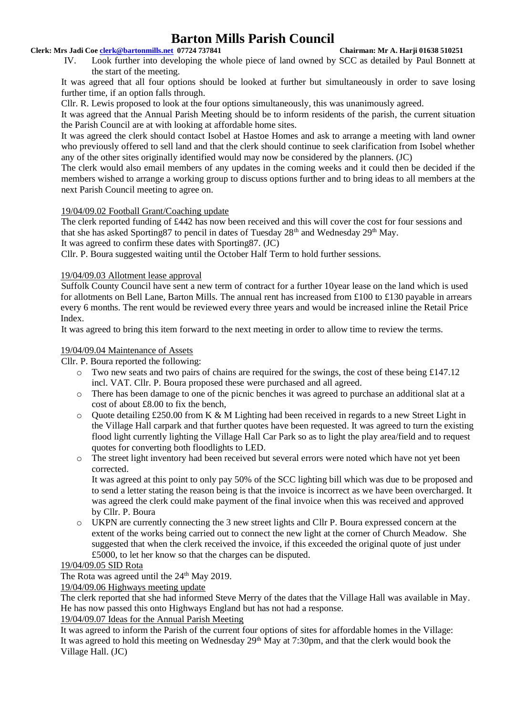# **Clerk: Mrs Jadi Coe [clerk@bartonmills.net](mailto:clerk@bartonmills.net) 07724 737841 Chairman: Mr A. Harji 01638 510251**

IV. Look further into developing the whole piece of land owned by SCC as detailed by Paul Bonnett at the start of the meeting.

It was agreed that all four options should be looked at further but simultaneously in order to save losing further time, if an option falls through.

Cllr. R. Lewis proposed to look at the four options simultaneously, this was unanimously agreed.

It was agreed that the Annual Parish Meeting should be to inform residents of the parish, the current situation the Parish Council are at with looking at affordable home sites.

It was agreed the clerk should contact Isobel at Hastoe Homes and ask to arrange a meeting with land owner who previously offered to sell land and that the clerk should continue to seek clarification from Isobel whether any of the other sites originally identified would may now be considered by the planners. (JC)

The clerk would also email members of any updates in the coming weeks and it could then be decided if the members wished to arrange a working group to discuss options further and to bring ideas to all members at the next Parish Council meeting to agree on.

# 19/04/09.02 Football Grant/Coaching update

The clerk reported funding of £442 has now been received and this will cover the cost for four sessions and that she has asked Sporting 87 to pencil in dates of Tuesday  $28<sup>th</sup>$  and Wednesday  $29<sup>th</sup>$  May.

It was agreed to confirm these dates with Sporting87. (JC)

Cllr. P. Boura suggested waiting until the October Half Term to hold further sessions.

# 19/04/09.03 Allotment lease approval

Suffolk County Council have sent a new term of contract for a further 10year lease on the land which is used for allotments on Bell Lane, Barton Mills. The annual rent has increased from £100 to £130 payable in arrears every 6 months. The rent would be reviewed every three years and would be increased inline the Retail Price Index.

It was agreed to bring this item forward to the next meeting in order to allow time to review the terms.

# 19/04/09.04 Maintenance of Assets

Cllr. P. Boura reported the following:

- $\circ$  Two new seats and two pairs of chains are required for the swings, the cost of these being £147.12 incl. VAT. Cllr. P. Boura proposed these were purchased and all agreed.
- o There has been damage to one of the picnic benches it was agreed to purchase an additional slat at a cost of about £8.00 to fix the bench,
- $\circ$  Ouote detailing £250.00 from K & M Lighting had been received in regards to a new Street Light in the Village Hall carpark and that further quotes have been requested. It was agreed to turn the existing flood light currently lighting the Village Hall Car Park so as to light the play area/field and to request quotes for converting both floodlights to LED.
- o The street light inventory had been received but several errors were noted which have not yet been corrected.

It was agreed at this point to only pay 50% of the SCC lighting bill which was due to be proposed and to send a letter stating the reason being is that the invoice is incorrect as we have been overcharged. It was agreed the clerk could make payment of the final invoice when this was received and approved by Cllr. P. Boura

o UKPN are currently connecting the 3 new street lights and Cllr P. Boura expressed concern at the extent of the works being carried out to connect the new light at the corner of Church Meadow. She suggested that when the clerk received the invoice, if this exceeded the original quote of just under £5000, to let her know so that the charges can be disputed.

# 19/04/09.05 SID Rota

The Rota was agreed until the 24<sup>th</sup> May 2019.

19/04/09.06 Highways meeting update

The clerk reported that she had informed Steve Merry of the dates that the Village Hall was available in May. He has now passed this onto Highways England but has not had a response.

19/04/09.07 Ideas for the Annual Parish Meeting

It was agreed to inform the Parish of the current four options of sites for affordable homes in the Village: It was agreed to hold this meeting on Wednesday 29<sup>th</sup> May at 7:30pm, and that the clerk would book the Village Hall. (JC)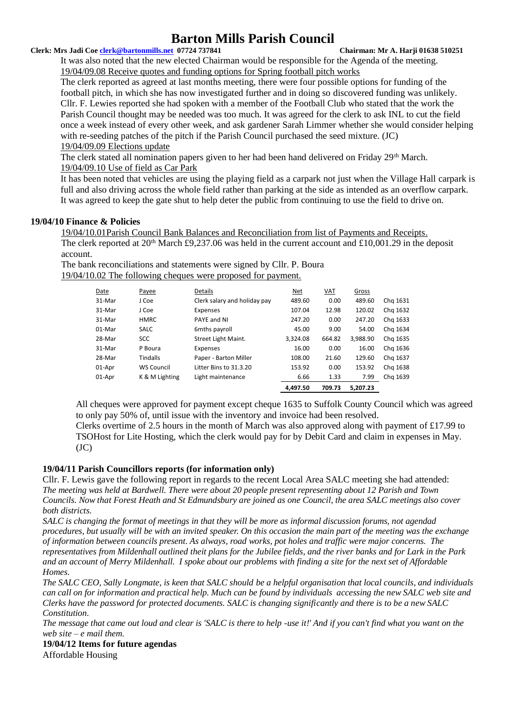#### **Clerk: Mrs Jadi Coe [clerk@bartonmills.net](mailto:clerk@bartonmills.net) 07724 737841 Chairman: Mr A. Harji 01638 510251**

It was also noted that the new elected Chairman would be responsible for the Agenda of the meeting. 19/04/09.08 Receive quotes and funding options for Spring football pitch works

The clerk reported as agreed at last months meeting, there were four possible options for funding of the football pitch, in which she has now investigated further and in doing so discovered funding was unlikely. Cllr. F. Lewies reported she had spoken with a member of the Football Club who stated that the work the Parish Council thought may be needed was too much. It was agreed for the clerk to ask INL to cut the field once a week instead of every other week, and ask gardener Sarah Limmer whether she would consider helping with re-seeding patches of the pitch if the Parish Council purchased the seed mixture. (JC) 19/04/09.09 Elections update

The clerk stated all nomination papers given to her had been hand delivered on Friday 29<sup>th</sup> March. 19/04/09.10 Use of field as Car Park

It has been noted that vehicles are using the playing field as a carpark not just when the Village Hall carpark is full and also driving across the whole field rather than parking at the side as intended as an overflow carpark. It was agreed to keep the gate shut to help deter the public from continuing to use the field to drive on.

# **19/04/10 Finance & Policies**

19/04/10.01Parish Council Bank Balances and Reconciliation from list of Payments and Receipts. The clerk reported at  $20<sup>th</sup>$  March £9,237.06 was held in the current account and £10,001.29 in the deposit account.

The bank reconciliations and statements were signed by Cllr. P. Boura

19/04/10.02 The following cheques were proposed for payment.

|        |                   |                              | 4.497.50   | 709.73     | 5.207.23 |          |
|--------|-------------------|------------------------------|------------|------------|----------|----------|
| 01-Apr | K & M Lighting    | Light maintenance            | 6.66       | 1.33       | 7.99     | Chg 1639 |
| 01-Apr | <b>WS Council</b> | Litter Bins to 31.3.20       | 153.92     | 0.00       | 153.92   | Chg 1638 |
| 28-Mar | <b>Tindalls</b>   | Paper - Barton Miller        | 108.00     | 21.60      | 129.60   | Chg 1637 |
| 31-Mar | P Boura           | Expenses                     | 16.00      | 0.00       | 16.00    | Chg 1636 |
| 28-Mar | <b>SCC</b>        | Street Light Maint.          | 3,324.08   | 664.82     | 3.988.90 | Chg 1635 |
| 01-Mar | <b>SALC</b>       | 6mths payroll                | 45.00      | 9.00       | 54.00    | Chg 1634 |
| 31-Mar | <b>HMRC</b>       | PAYE and NI                  | 247.20     | 0.00       | 247.20   | Chg 1633 |
| 31-Mar | J Coe             | Expenses                     | 107.04     | 12.98      | 120.02   | Chg 1632 |
| 31-Mar | J Coe             | Clerk salary and holiday pay | 489.60     | 0.00       | 489.60   | Chg 1631 |
| Date   | Payee             | <b>Details</b>               | <b>Net</b> | <u>VAT</u> | Gross    |          |

All cheques were approved for payment except cheque 1635 to Suffolk County Council which was agreed to only pay 50% of, until issue with the inventory and invoice had been resolved.

Clerks overtime of 2.5 hours in the month of March was also approved along with payment of £17.99 to TSOHost for Lite Hosting, which the clerk would pay for by Debit Card and claim in expenses in May.  $(JC)$ 

# **19/04/11 Parish Councillors reports (for information only)**

Cllr. F. Lewis gave the following report in regards to the recent Local Area SALC meeting she had attended: *The meeting was held at Bardwell. There were about 20 people present representing about 12 Parish and Town Councils. Now that Forest Heath and St Edmundsbury are joined as one Council, the area SALC meetings also cover both districts.*

*SALC is changing the format of meetings in that they will be more as informal discussion forums, not agendad procedures, but usually will be with an invited speaker. On this occasion the main part of the meeting was the exchange of information between councils present. As always, road works, pot holes and traffic were major concerns. The representatives from Mildenhall outlined theit plans for the Jubilee fields, and the river banks and for Lark in the Park and an account of Merry Mildenhall. I spoke about our problems with finding a site for the next set of Affordable Homes.*

*The SALC CEO, Sally Longmate, is keen that SALC should be a helpful organisation that local councils, and individuals can call on for information and practical help. Much can be found by individuals accessing the new SALC web site and Clerks have the password for protected documents. SALC is changing significantly and there is to be a new SALC Constitution.*

*The message that came out loud and clear is 'SALC is there to help -use it!' And if you can't find what you want on the web site – e mail them.*

**19/04/12 Items for future agendas** Affordable Housing